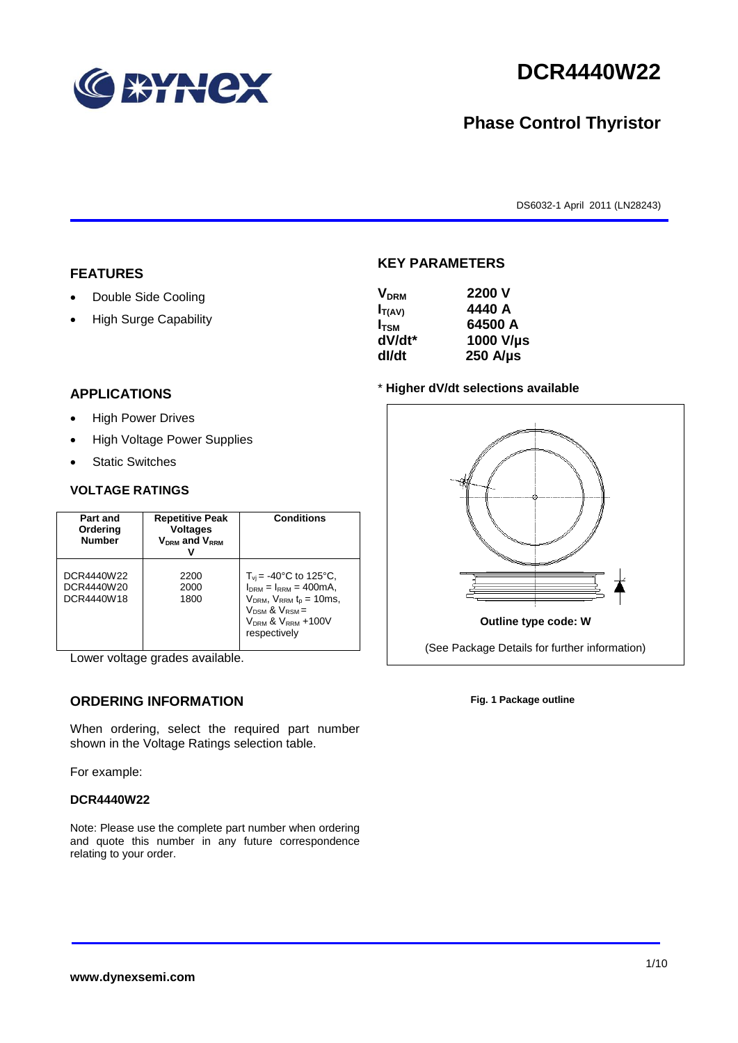

# **DCR4440W22**

## **Phase Control Thyristor**

DS6032-1 April 2011 (LN28243)

#### **FEATURES**

- Double Side Cooling
- High Surge Capability

## **APPLICATIONS**

- High Power Drives
- High Voltage Power Supplies
- Static Switches

#### **VOLTAGE RATINGS**

| Part and<br>Ordering<br><b>Number</b>  | <b>Repetitive Peak</b><br><b>Voltages</b><br>$V_{DRM}$ and $V_{RRM}$ | <b>Conditions</b>                                                                                                                                                                      |
|----------------------------------------|----------------------------------------------------------------------|----------------------------------------------------------------------------------------------------------------------------------------------------------------------------------------|
| DCR4440W22<br>DCR4440W20<br>DCR4440W18 | 2200<br>2000<br>1800                                                 | $T_{vi}$ = -40°C to 125°C,<br>$I_{DRM} = I_{RRM} = 400 \text{mA}$ ,<br>$V_{DRM}$ , $V_{RRM}$ $t_{p}$ = 10ms,<br>$V_{DSM}$ & $V_{RSM}$ =<br>$V_{DRM}$ & $V_{RRM}$ +100V<br>respectively |

Lower voltage grades available.

#### **ORDERING INFORMATION**

When ordering, select the required part number shown in the Voltage Ratings selection table.

For example:

#### **DCR4440W22**

Note: Please use the complete part number when ordering and quote this number in any future correspondence relating to your order.



**KEY PARAMETERS**

#### \* **Higher dV/dt selections available**



**Fig. 1 Package outline**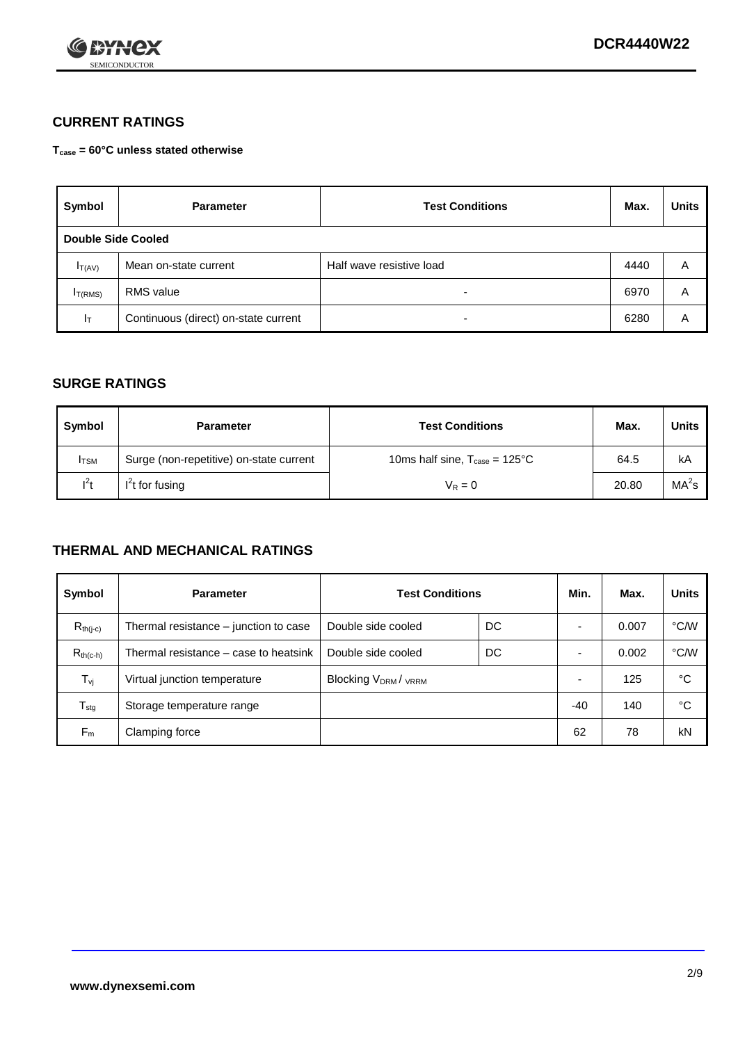

### **CURRENT RATINGS**

**Tcase = 60°C unless stated otherwise**

| Symbol              | <b>Parameter</b>                     | <b>Test Conditions</b>   |      | <b>Units</b> |  |  |
|---------------------|--------------------------------------|--------------------------|------|--------------|--|--|
| Double Side Cooled  |                                      |                          |      |              |  |  |
| $I_{T(AV)}$         | Mean on-state current                | Half wave resistive load | 4440 | A            |  |  |
| I <sub>T(RMS)</sub> | RMS value                            | $\overline{\phantom{a}}$ | 6970 | Α            |  |  |
| Iт                  | Continuous (direct) on-state current | $\overline{\phantom{a}}$ | 6280 | Α            |  |  |

#### **SURGE RATINGS**

| Symbol       | <b>Parameter</b>                        | <b>Test Conditions</b>                           | Max.  | Units             |
|--------------|-----------------------------------------|--------------------------------------------------|-------|-------------------|
| <b>I</b> TSM | Surge (non-repetitive) on-state current | 10ms half sine, $T_{\text{case}} = 125^{\circ}C$ | 64.5  | kA                |
| $l^2t$       | $I2t$ for fusing                        | $V_R = 0$                                        | 20.80 | MA <sup>2</sup> s |

### **THERMAL AND MECHANICAL RATINGS**

| Symbol           | <b>Parameter</b>                      | <b>Test Conditions</b>    |    | Min.  | Max.  | <b>Units</b> |
|------------------|---------------------------------------|---------------------------|----|-------|-------|--------------|
| $R_{th(j-c)}$    | Thermal resistance – junction to case | Double side cooled        | DC |       | 0.007 | °C/W         |
| $R_{th(c-h)}$    | Thermal resistance – case to heatsink | Double side cooled        | DC |       | 0.002 | °C/W         |
| $T_{\nu j}$      | Virtual junction temperature          | <b>Blocking VDRM/VRRM</b> |    |       | 125   | °C           |
| $T_{\text{stg}}$ | Storage temperature range             |                           |    | $-40$ | 140   | °C           |
| $F_m$            | Clamping force                        |                           |    | 62    | 78    | kN           |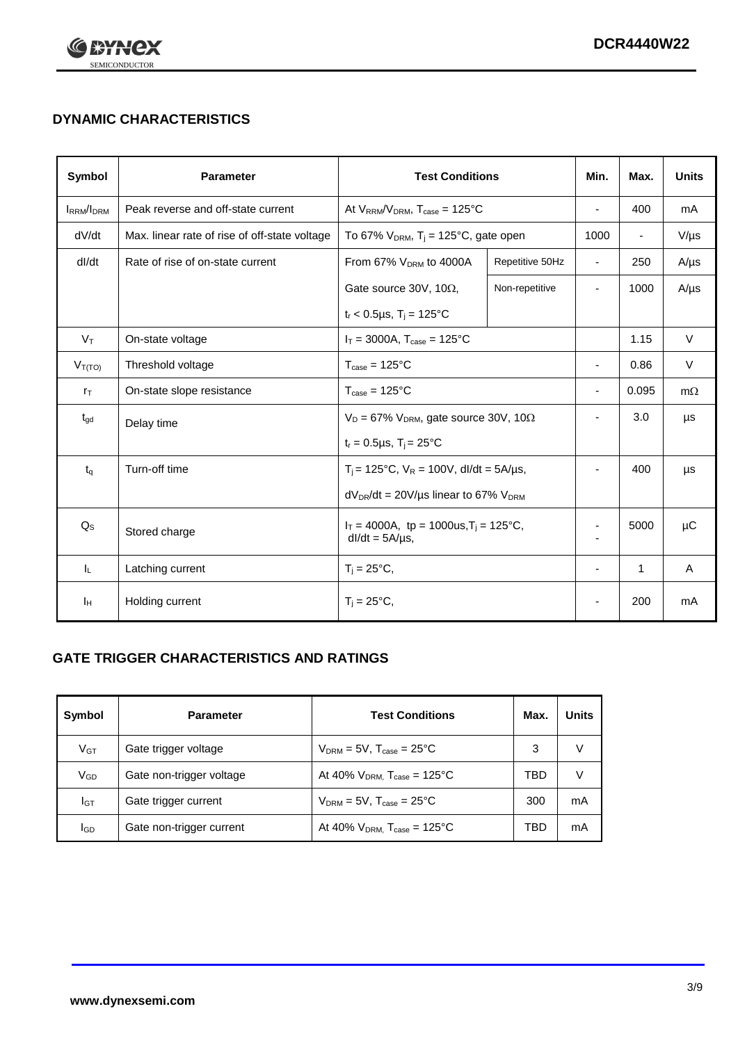

## **DYNAMIC CHARACTERISTICS**

| <b>Symbol</b>     | <b>Parameter</b>                              | <b>Test Conditions</b>                                               |                 | Min.                     | Max.           | <b>Units</b> |
|-------------------|-----------------------------------------------|----------------------------------------------------------------------|-----------------|--------------------------|----------------|--------------|
| <b>IRRM</b> /IDRM | Peak reverse and off-state current            | At $V_{RRM}/V_{DRM}$ , $T_{case} = 125^{\circ}C$                     |                 | ä,                       | 400            | mA           |
| dV/dt             | Max. linear rate of rise of off-state voltage | To 67% $V_{DRM}$ , T <sub>j</sub> = 125°C, gate open                 |                 | 1000                     | $\blacksquare$ | $V/\mu s$    |
| dl/dt             | Rate of rise of on-state current              | From 67% $V_{DRM}$ to 4000A                                          | Repetitive 50Hz | $\overline{\phantom{a}}$ | 250            | $A/\mu s$    |
|                   |                                               | Gate source 30V, 10 $\Omega$ ,                                       | Non-repetitive  | ٠                        | 1000           | $A/\mu s$    |
|                   |                                               | $t_r$ < 0.5µs, T <sub>i</sub> = 125°C                                |                 |                          |                |              |
| $V_T$             | On-state voltage                              | $I_T = 3000A$ , $T_{case} = 125^{\circ}C$                            |                 |                          | 1.15           | $\vee$       |
| $V_{T(TO)}$       | Threshold voltage                             | $T_{\text{case}} = 125^{\circ}C$                                     |                 | ٠                        | 0.86           | V            |
| $r_{\text{T}}$    | On-state slope resistance                     | $T_{\text{case}} = 125^{\circ}C$                                     |                 | $\overline{\phantom{a}}$ | 0.095          | $m\Omega$    |
| $t_{\rm gd}$      | Delay time                                    | $V_D = 67\%$ V <sub>DRM</sub> , gate source 30V, 10 $\Omega$         |                 | ٠                        | 3.0            | μs           |
|                   |                                               | $t_r = 0.5 \mu s$ , $T_i = 25^{\circ}C$                              |                 |                          |                |              |
| $t_{q}$           | Turn-off time                                 | $T_i$ = 125°C, $V_R$ = 100V, dl/dt = 5A/µs,                          |                 |                          | 400            | μs           |
|                   |                                               | $dV_{DR}/dt = 20 V/\mu s$ linear to 67% $V_{DRM}$                    |                 |                          |                |              |
| $Q_S$             | Stored charge                                 | $I_T = 4000A$ , tp = 1000us, $T_i = 125$ °C,<br>$dl/dt = 5A/\mu s$ , |                 |                          | 5000           | $\mu$ C      |
| IL.               | Latching current                              | $T_i = 25^{\circ}C$ ,                                                |                 | $\blacksquare$           | $\mathbf{1}$   | Α            |
| Iн                | Holding current                               | $T_i = 25^{\circ}C,$                                                 |                 |                          | 200            | mA           |

### **GATE TRIGGER CHARACTERISTICS AND RATINGS**

| Symbol          | <b>Parameter</b>         | <b>Test Conditions</b>                    | Max. | <b>Units</b> |
|-----------------|--------------------------|-------------------------------------------|------|--------------|
| V <sub>GT</sub> | Gate trigger voltage     | $V_{DRM}$ = 5V, $T_{case}$ = 25°C         | 3    |              |
| $V_{GD}$        | Gate non-trigger voltage | At 40% $V_{DRM}$ , $T_{case}$ = 125°C     | TBD  |              |
| Iст             | Gate trigger current     | $V_{DRM} = 5V$ , $T_{case} = 25^{\circ}C$ | 300  | mA           |
| <b>I</b> GD     | Gate non-trigger current | At 40% $V_{DRM}$ , $T_{case}$ = 125°C     | TBD  | mA           |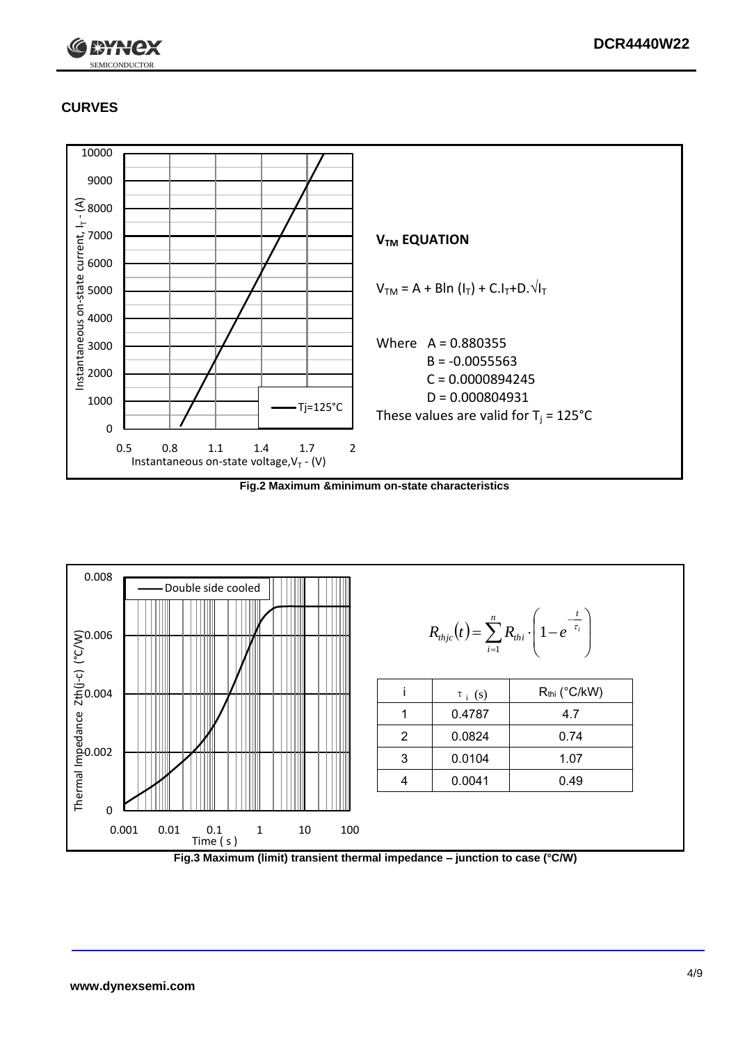

### **CURVES**



**Fig.2 Maximum &minimum on-state characteristics**



**Fig.3 Maximum (limit) transient thermal impedance – junction to case (°C/W)**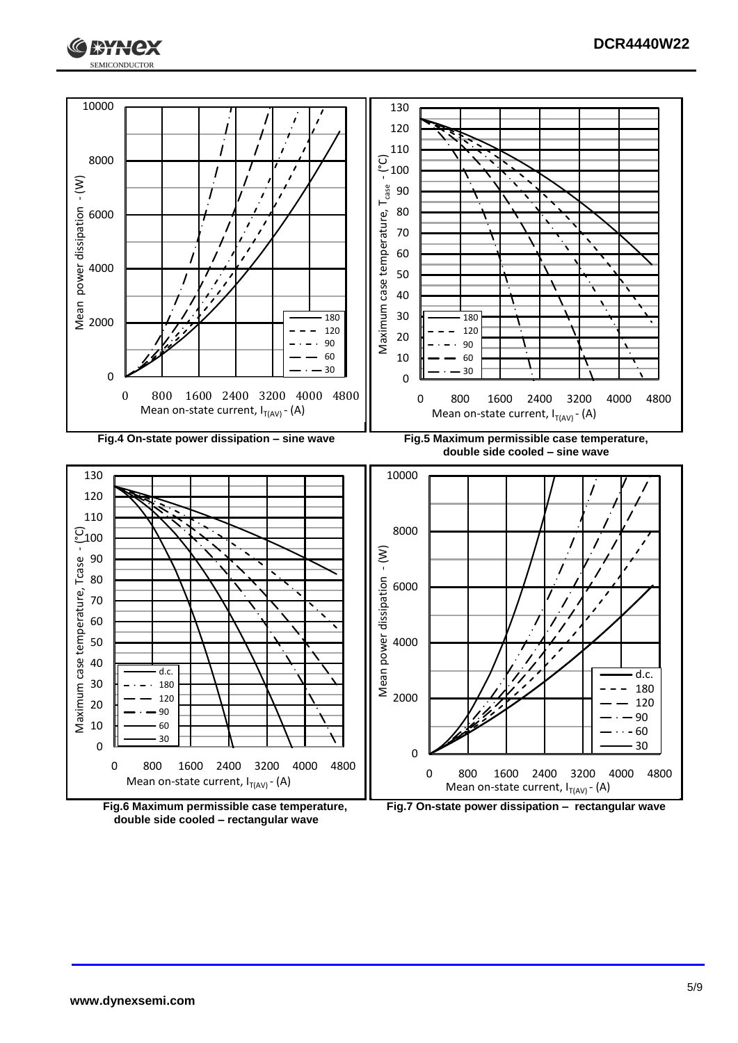



**double side cooled – rectangular wave**

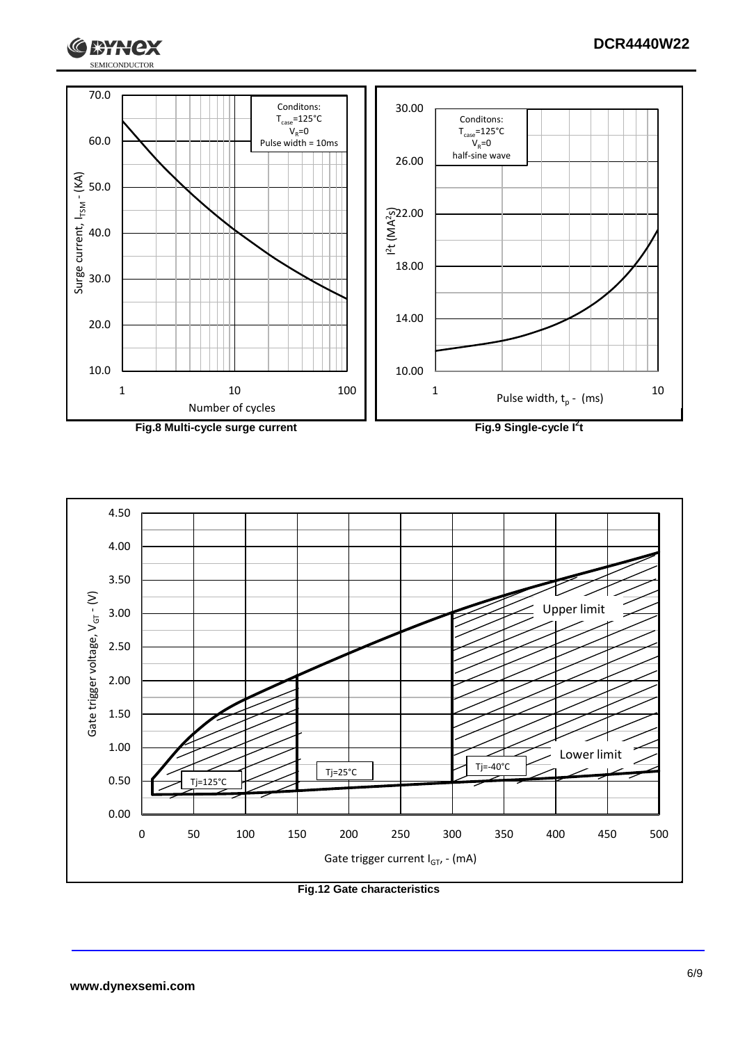



**Fig.8 Multi-cycle surge current Fig.9 Single-cycle I**

**2 t**



**Fig.12 Gate characteristics**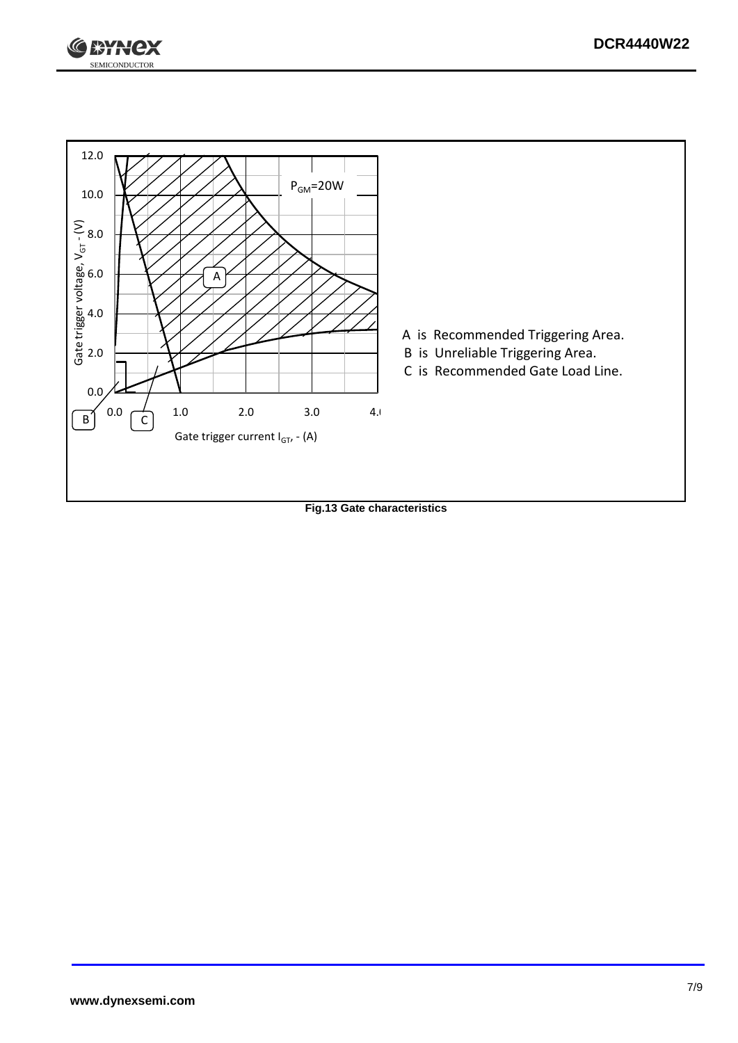



**Fig.13 Gate characteristics**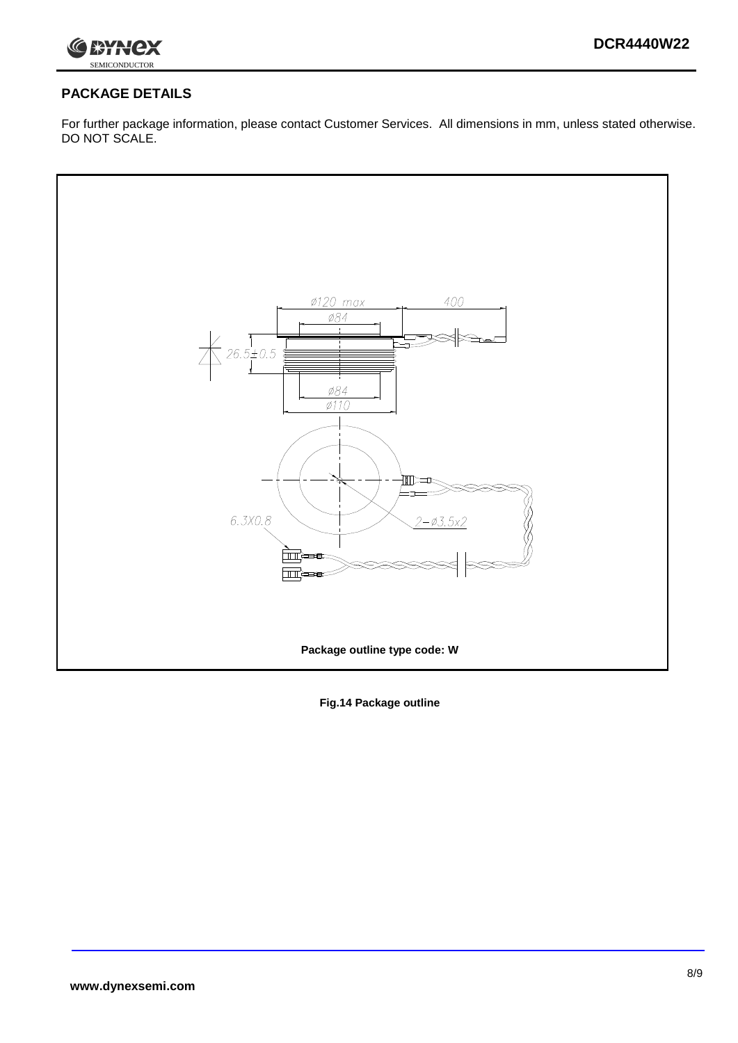

### **PACKAGE DETAILS**

For further package information, please contact Customer Services. All dimensions in mm, unless stated otherwise. DO NOT SCALE.



**Fig.14 Package outline**